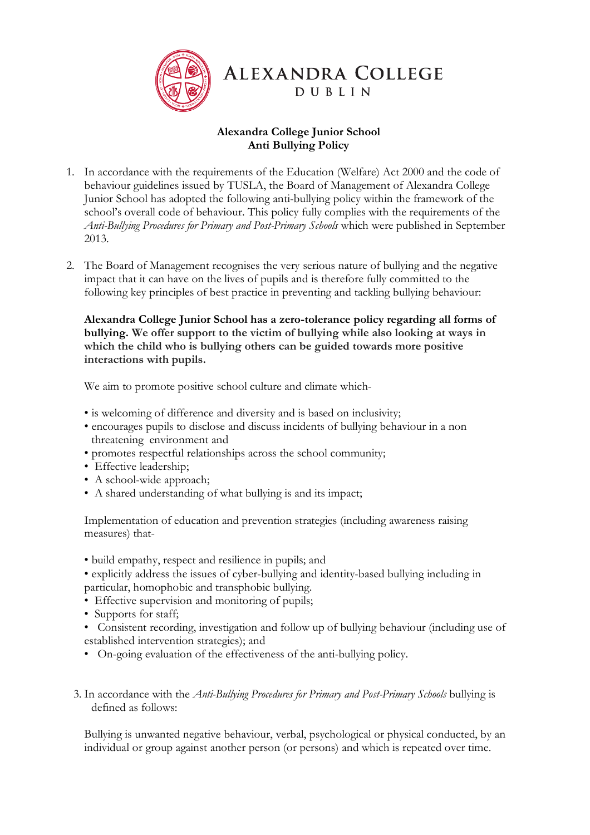

# **ALEXANDRA COLLEGE DUBLIN**

# **Alexandra College Junior School Anti Bullying Policy**

- 1. In accordance with the requirements of the Education (Welfare) Act 2000 and the code of behaviour guidelines issued by TUSLA, the Board of Management of Alexandra College Junior School has adopted the following anti-bullying policy within the framework of the school's overall code of behaviour. This policy fully complies with the requirements of the *Anti-Bullying Procedures for Primary and Post-Primary Schools* which were published in September 2013.
- 2. The Board of Management recognises the very serious nature of bullying and the negative impact that it can have on the lives of pupils and is therefore fully committed to the following key principles of best practice in preventing and tackling bullying behaviour:

**Alexandra College Junior School has a zero-tolerance policy regarding all forms of bullying. We offer support to the victim of bullying while also looking at ways in which the child who is bullying others can be guided towards more positive interactions with pupils.**

We aim to promote positive school culture and climate which-

- is welcoming of difference and diversity and is based on inclusivity;
- encourages pupils to disclose and discuss incidents of bullying behaviour in a non threatening environment and
- promotes respectful relationships across the school community;
- Effective leadership;
- A school-wide approach;
- A shared understanding of what bullying is and its impact;

Implementation of education and prevention strategies (including awareness raising measures) that-

- build empathy, respect and resilience in pupils; and
- explicitly address the issues of cyber-bullying and identity-based bullying including in particular, homophobic and transphobic bullying.
- Effective supervision and monitoring of pupils;
- Supports for staff;
- Consistent recording, investigation and follow up of bullying behaviour (including use of established intervention strategies); and
- On-going evaluation of the effectiveness of the anti-bullying policy.
- 3. In accordance with the *Anti-Bullying Procedures for Primary and Post-Primary Schools* bullying is defined as follows:

Bullying is unwanted negative behaviour, verbal, psychological or physical conducted, by an individual or group against another person (or persons) and which is repeated over time.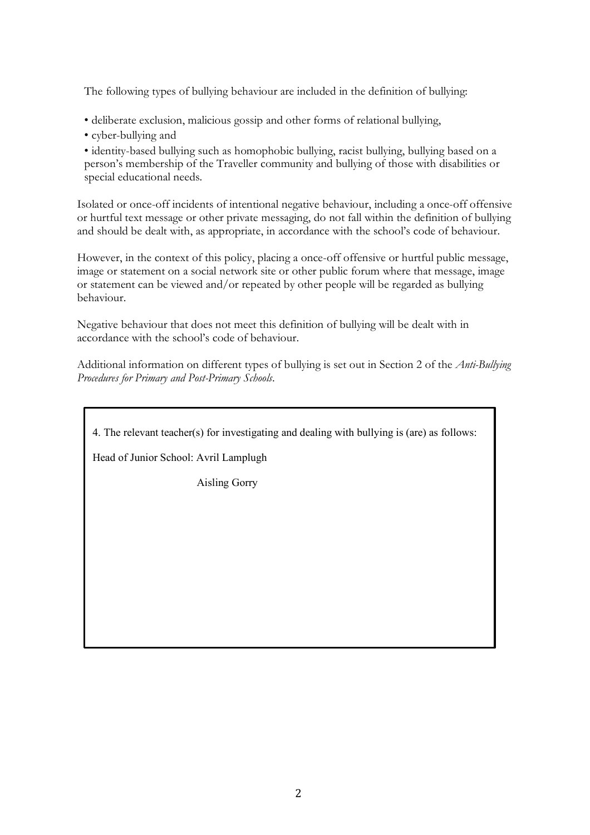The following types of bullying behaviour are included in the definition of bullying:

- deliberate exclusion, malicious gossip and other forms of relational bullying,
- cyber-bullying and

• identity-based bullying such as homophobic bullying, racist bullying, bullying based on a person's membership of the Traveller community and bullying of those with disabilities or special educational needs.

Isolated or once-off incidents of intentional negative behaviour, including a once-off offensive or hurtful text message or other private messaging, do not fall within the definition of bullying and should be dealt with, as appropriate, in accordance with the school's code of behaviour.

However, in the context of this policy, placing a once-off offensive or hurtful public message, image or statement on a social network site or other public forum where that message, image or statement can be viewed and/or repeated by other people will be regarded as bullying behaviour.

Negative behaviour that does not meet this definition of bullying will be dealt with in accordance with the school's code of behaviour.

Additional information on different types of bullying is set out in Section 2 of the *Anti-Bullying Procedures for Primary and Post-Primary Schools*.

4. The relevant teacher(s) for investigating and dealing with bullying is (are) as follows:

Head of Junior School: Avril Lamplugh

Aisling Gorry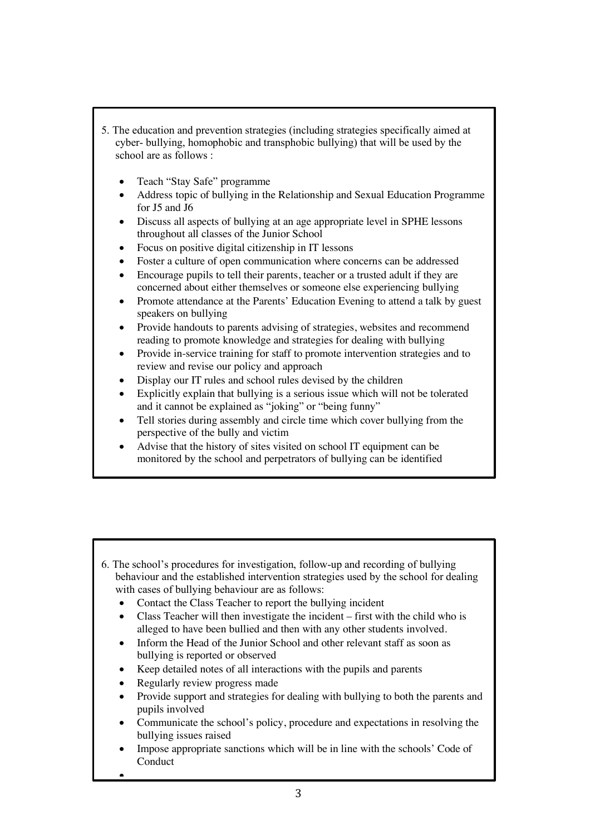- 5. The education and prevention strategies (including strategies specifically aimed at cyber- bullying, homophobic and transphobic bullying) that will be used by the school are as follows :
	- Teach "Stay Safe" programme
	- Address topic of bullying in the Relationship and Sexual Education Programme for J5 and J6
	- Discuss all aspects of bullying at an age appropriate level in SPHE lessons throughout all classes of the Junior School
	- Focus on positive digital citizenship in IT lessons
	- Foster a culture of open communication where concerns can be addressed
	- Encourage pupils to tell their parents, teacher or a trusted adult if they are concerned about either themselves or someone else experiencing bullying
	- Promote attendance at the Parents' Education Evening to attend a talk by guest speakers on bullying
	- Provide handouts to parents advising of strategies, websites and recommend reading to promote knowledge and strategies for dealing with bullying
	- Provide in-service training for staff to promote intervention strategies and to review and revise our policy and approach
	- Display our IT rules and school rules devised by the children
	- Explicitly explain that bullying is a serious issue which will not be tolerated and it cannot be explained as "joking" or "being funny"
	- Tell stories during assembly and circle time which cover bullying from the perspective of the bully and victim
	- Advise that the history of sites visited on school IT equipment can be monitored by the school and perpetrators of bullying can be identified

- 6. The school's procedures for investigation, follow-up and recording of bullying behaviour and the established intervention strategies used by the school for dealing with cases of bullying behaviour are as follows:
	- Contact the Class Teacher to report the bullying incident
	- Class Teacher will then investigate the incident first with the child who is alleged to have been bullied and then with any other students involved.
	- Inform the Head of the Junior School and other relevant staff as soon as bullying is reported or observed
	- Keep detailed notes of all interactions with the pupils and parents
	- Regularly review progress made

•

- Provide support and strategies for dealing with bullying to both the parents and pupils involved
- Communicate the school's policy, procedure and expectations in resolving the bullying issues raised
- Impose appropriate sanctions which will be in line with the schools' Code of Conduct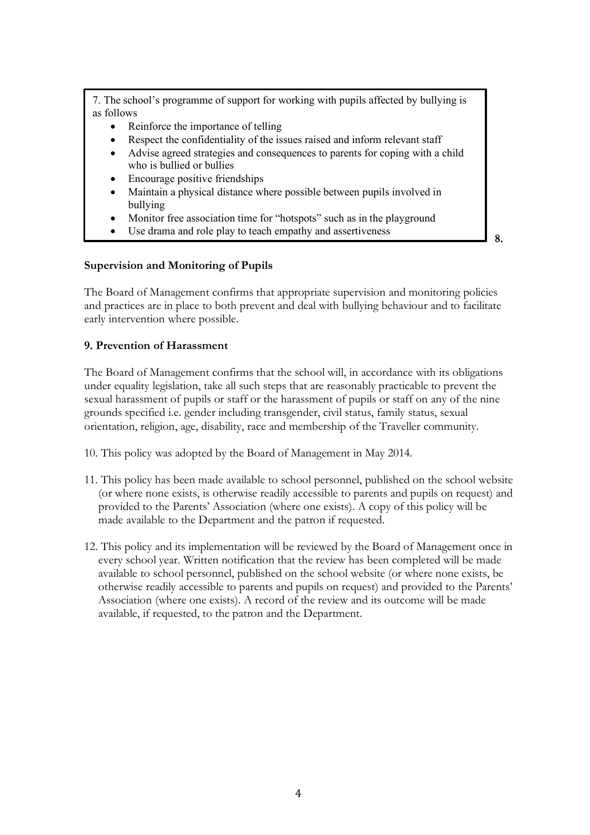7. The school's programme of support for working with pupils affected by bullying is as follows

- Reinforce the importance of telling
- Respect the confidentiality of the issues raised and inform relevant staff
- Advise agreed strategies and consequences to parents for coping with a child who is bullied or bullies
- Encourage positive friendships
- Maintain a physical distance where possible between pupils involved in bullying
- Monitor free association time for "hotspots" such as in the playground
- Use drama and role play to teach empathy and assertiveness

**8.** 

#### **Supervision and Monitoring of Pupils**

The Board of Management confirms that appropriate supervision and monitoring policies and practices are in place to both prevent and deal with bullying behaviour and to facilitate early intervention where possible.

#### **9. Prevention of Harassment**

The Board of Management confirms that the school will, in accordance with its obligations under equality legislation, take all such steps that are reasonably practicable to prevent the sexual harassment of pupils or staff or the harassment of pupils or staff on any of the nine grounds specified i.e. gender including transgender, civil status, family status, sexual orientation, religion, age, disability, race and membership of the Traveller community.

10. This policy was adopted by the Board of Management in May 2014.

- 11. This policy has been made available to school personnel, published on the school website (or where none exists, is otherwise readily accessible to parents and pupils on request) and provided to the Parents' Association (where one exists). A copy of this policy will be made available to the Department and the patron if requested.
- 12. This policy and its implementation will be reviewed by the Board of Management once in every school year. Written notification that the review has been completed will be made available to school personnel, published on the school website (or where none exists, be otherwise readily accessible to parents and pupils on request) and provided to the Parents' Association (where one exists). A record of the review and its outcome will be made available, if requested, to the patron and the Department.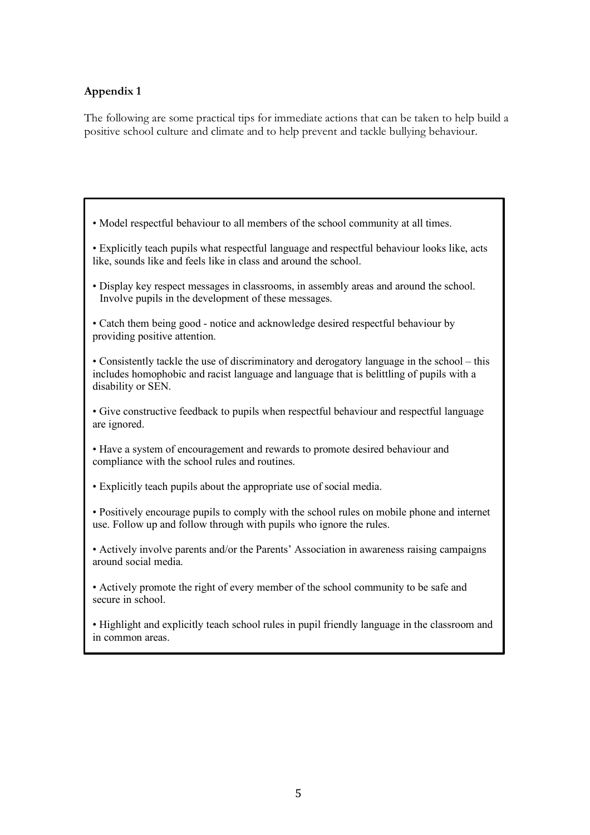# **Appendix 1**

The following are some practical tips for immediate actions that can be taken to help build a positive school culture and climate and to help prevent and tackle bullying behaviour.

- Model respectful behaviour to all members of the school community at all times.
- Explicitly teach pupils what respectful language and respectful behaviour looks like, acts like, sounds like and feels like in class and around the school.
- Display key respect messages in classrooms, in assembly areas and around the school. Involve pupils in the development of these messages.
- Catch them being good notice and acknowledge desired respectful behaviour by providing positive attention.
- Consistently tackle the use of discriminatory and derogatory language in the school this includes homophobic and racist language and language that is belittling of pupils with a disability or SEN.
- Give constructive feedback to pupils when respectful behaviour and respectful language are ignored.
- Have a system of encouragement and rewards to promote desired behaviour and compliance with the school rules and routines.
- Explicitly teach pupils about the appropriate use of social media.
- Positively encourage pupils to comply with the school rules on mobile phone and internet use. Follow up and follow through with pupils who ignore the rules.
- Actively involve parents and/or the Parents' Association in awareness raising campaigns around social media.
- Actively promote the right of every member of the school community to be safe and secure in school.
- Highlight and explicitly teach school rules in pupil friendly language in the classroom and in common areas.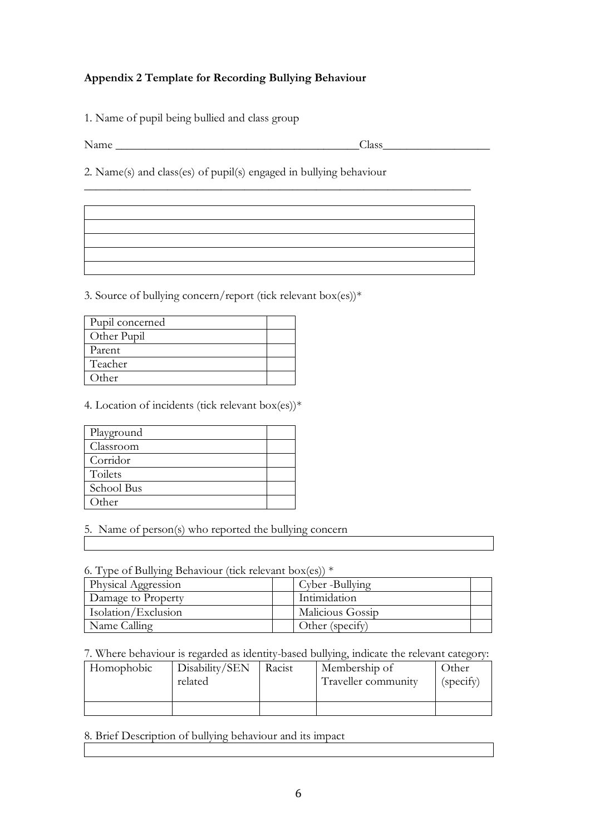# **Appendix 2 Template for Recording Bullying Behaviour**

1. Name of pupil being bullied and class group

Name \_\_\_\_\_\_\_\_\_\_\_\_\_\_\_\_\_\_\_\_\_\_\_\_\_\_\_\_\_\_\_\_\_\_\_\_\_\_\_\_\_Class\_\_\_\_\_\_\_\_\_\_\_\_\_\_\_\_\_\_

2. Name(s) and class(es) of pupil(s) engaged in bullying behaviour

\_\_\_\_\_\_\_\_\_\_\_\_\_\_\_\_\_\_\_\_\_\_\_\_\_\_\_\_\_\_\_\_\_\_\_\_\_\_\_\_\_\_\_\_\_\_\_\_\_\_\_\_\_\_\_\_\_\_\_\_\_\_\_\_\_

3. Source of bullying concern/report (tick relevant box(es))\*

| Pupil concerned |  |
|-----------------|--|
| Other Pupil     |  |
| Parent          |  |
| Teacher         |  |
| Other           |  |

4. Location of incidents (tick relevant box(es))\*

| Playground |  |
|------------|--|
| Classroom  |  |
| Corridor   |  |
| Toilets    |  |
| School Bus |  |
| Other      |  |

5. Name of person(s) who reported the bullying concern

6. Type of Bullying Behaviour (tick relevant box(es)) \*

| Physical Aggression | Cyber -Bullying  |
|---------------------|------------------|
| Damage to Property  | Intimidation     |
| Isolation/Exclusion | Malicious Gossip |
| Name Calling        | Other (specify)  |

7. Where behaviour is regarded as identity-based bullying, indicate the relevant category:

| Homophobic | Disability/SEN<br>related | Racist | Membership of<br>Traveller community | )ther<br>(specify) |
|------------|---------------------------|--------|--------------------------------------|--------------------|
|            |                           |        |                                      |                    |

8. Brief Description of bullying behaviour and its impact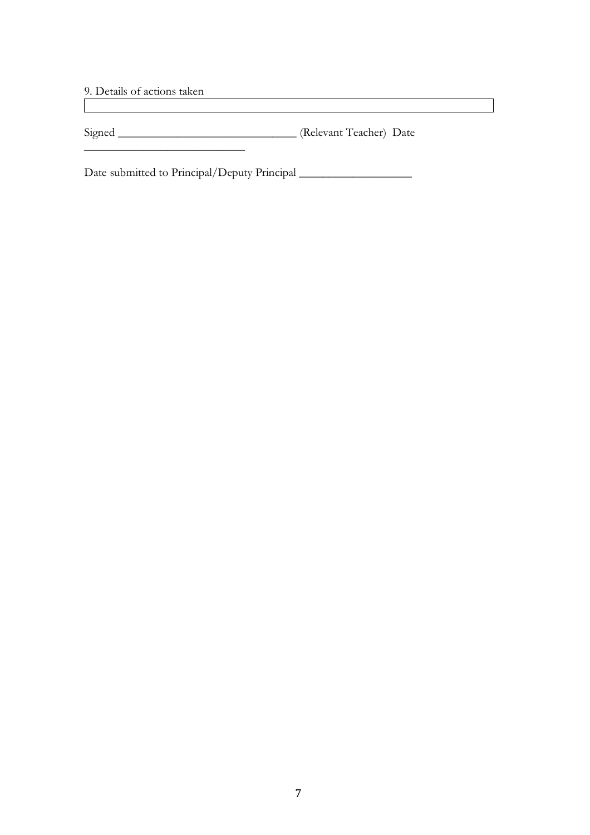9. Details of actions taken

\_\_\_\_\_\_\_\_\_\_\_\_\_\_\_\_\_\_\_\_\_\_\_\_\_\_\_

Signed \_\_\_\_\_\_\_\_\_\_\_\_\_\_\_\_\_\_\_\_\_\_\_\_\_\_\_\_\_\_ (Relevant Teacher) Date

<u> 1980 - Johann Stoff, deutscher Stoffen und der Stoffen und der Stoffen und der Stoffen und der Stoffen und d</u>

Date submitted to Principal/Deputy Principal \_\_\_\_\_\_\_\_\_\_\_\_\_\_\_\_\_\_\_\_\_\_\_\_\_\_\_\_\_\_\_\_\_\_\_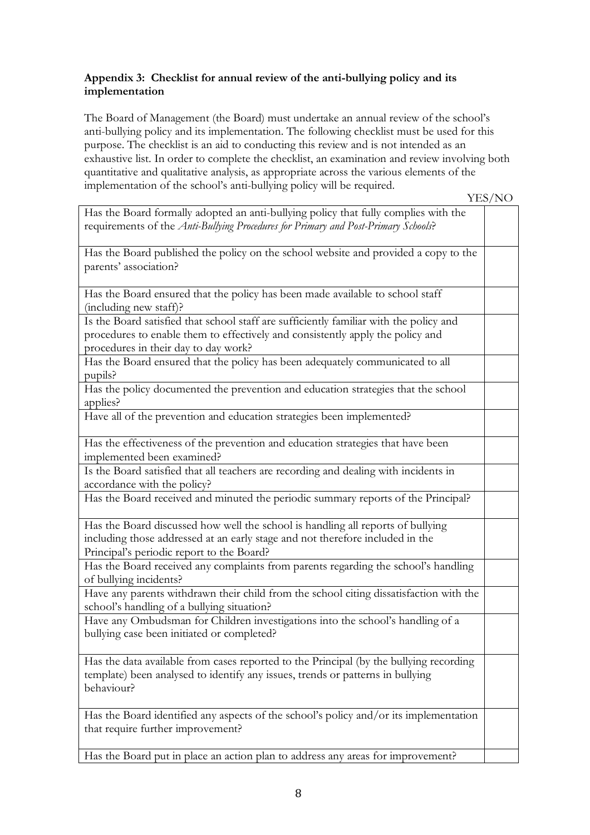## **Appendix 3: Checklist for annual review of the anti-bullying policy and its implementation**

The Board of Management (the Board) must undertake an annual review of the school's anti-bullying policy and its implementation. The following checklist must be used for this purpose. The checklist is an aid to conducting this review and is not intended as an exhaustive list. In order to complete the checklist, an examination and review involving both quantitative and qualitative analysis, as appropriate across the various elements of the implementation of the school's anti-bullying policy will be required.

YES/NO

| Has the Board formally adopted an anti-bullying policy that fully complies with the<br>requirements of the Anti-Bullying Procedures for Primary and Post-Primary Schools?              |  |
|----------------------------------------------------------------------------------------------------------------------------------------------------------------------------------------|--|
| Has the Board published the policy on the school website and provided a copy to the                                                                                                    |  |
| parents' association?                                                                                                                                                                  |  |
| Has the Board ensured that the policy has been made available to school staff<br>(including new staff)?                                                                                |  |
| Is the Board satisfied that school staff are sufficiently familiar with the policy and<br>procedures to enable them to effectively and consistently apply the policy and               |  |
| procedures in their day to day work?<br>Has the Board ensured that the policy has been adequately communicated to all                                                                  |  |
| pupils?                                                                                                                                                                                |  |
| Has the policy documented the prevention and education strategies that the school<br>applies?                                                                                          |  |
| Have all of the prevention and education strategies been implemented?                                                                                                                  |  |
| Has the effectiveness of the prevention and education strategies that have been<br>implemented been examined?                                                                          |  |
| Is the Board satisfied that all teachers are recording and dealing with incidents in<br>accordance with the policy?                                                                    |  |
| Has the Board received and minuted the periodic summary reports of the Principal?                                                                                                      |  |
| Has the Board discussed how well the school is handling all reports of bullying<br>including those addressed at an early stage and not therefore included in the                       |  |
| Principal's periodic report to the Board?                                                                                                                                              |  |
| Has the Board received any complaints from parents regarding the school's handling<br>of bullying incidents?                                                                           |  |
| Have any parents withdrawn their child from the school citing dissatisfaction with the<br>school's handling of a bullying situation?                                                   |  |
| Have any Ombudsman for Children investigations into the school's handling of a<br>bullying case been initiated or completed?                                                           |  |
| Has the data available from cases reported to the Principal (by the bullying recording<br>template) been analysed to identify any issues, trends or patterns in bullying<br>behaviour? |  |
| Has the Board identified any aspects of the school's policy and/or its implementation<br>that require further improvement?                                                             |  |
| Has the Board put in place an action plan to address any areas for improvement?                                                                                                        |  |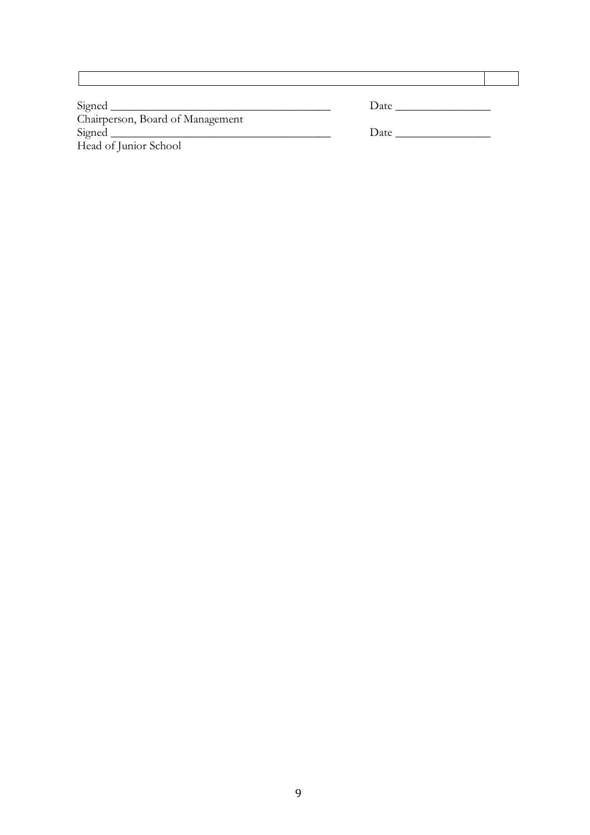| Signed _                         | Date |
|----------------------------------|------|
| Chairperson, Board of Management |      |
|                                  | Date |
| Head of Junior School            |      |